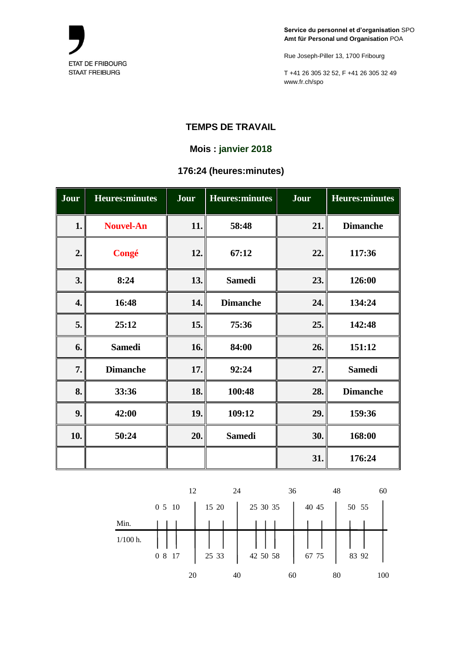

Rue Joseph-Piller 13, 1700 Fribourg

T +41 26 305 32 52, F +41 26 305 32 49 www.fr.ch/spo

## **TEMPS DE TRAVAIL**

## **Mois : janvier 2018**

# **176:24 (heures:minutes)**

| Jour | <b>Heures:minutes</b> | Jour | <b>Heures:minutes</b> | Jour | <b>Heures:minutes</b> |
|------|-----------------------|------|-----------------------|------|-----------------------|
| 1.   | <b>Nouvel-An</b>      | 11.  | 58:48                 | 21.  | <b>Dimanche</b>       |
| 2.   | Congé                 | 12.  | 67:12                 | 22.  | 117:36                |
| 3.   | 8:24                  | 13.  | <b>Samedi</b>         | 23.  | 126:00                |
| 4.   | 16:48                 | 14.  | <b>Dimanche</b>       | 24.  | 134:24                |
| 5.   | 25:12                 | 15.  | 75:36                 | 25.  | 142:48                |
| 6.   | <b>Samedi</b>         | 16.  | 84:00                 | 26.  | 151:12                |
| 7.   | <b>Dimanche</b>       | 17.  | 92:24                 | 27.  | <b>Samedi</b>         |
| 8.   | 33:36                 | 18.  | 100:48                | 28.  | <b>Dimanche</b>       |
| 9.   | 42:00                 | 19.  | 109:12                | 29.  | 159:36                |
| 10.  | 50:24                 | 20.  | <b>Samedi</b>         | 30.  | 168:00                |
|      |                       |      |                       | 31.  | 176:24                |

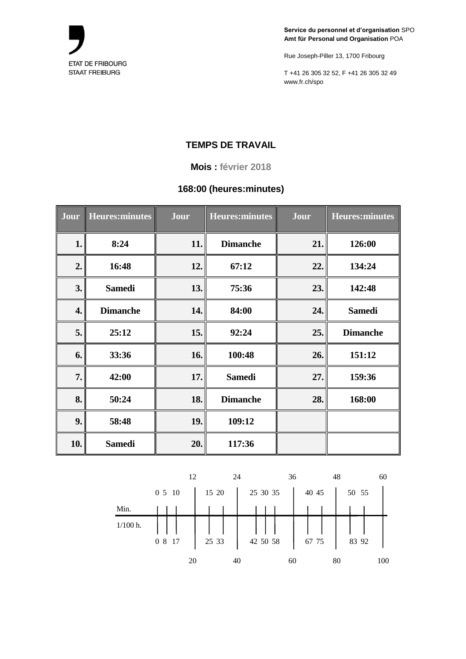

Rue Joseph-Piller 13, 1700 Fribourg

T +41 26 305 32 52, F +41 26 305 32 49 www.fr.ch/spo

# **TEMPS DE TRAVAIL**

**Mois : février 2018**

### **168:00 (heures:minutes)**

| Jour | Heures: minutes | Jour | <b>Heures:minutes</b> | Jour | <b>Heures:minutes</b> |
|------|-----------------|------|-----------------------|------|-----------------------|
| 1.   | 8:24            | 11.  | <b>Dimanche</b>       | 21.  | 126:00                |
| 2.   | 16:48           | 12.  | 67:12                 | 22.  | 134:24                |
| 3.   | <b>Samedi</b>   | 13.  | 75:36                 | 23.  | 142:48                |
| 4.   | <b>Dimanche</b> | 14.  | 84:00                 | 24.  | <b>Samedi</b>         |
| 5.   | 25:12           | 15.  | 92:24                 | 25.  | <b>Dimanche</b>       |
| 6.   | 33:36           | 16.  | 100:48                | 26.  | 151:12                |
| 7.   | 42:00           | 17.  | <b>Samedi</b>         | 27.  | 159:36                |
| 8.   | 50:24           | 18.  | <b>Dimanche</b>       | 28.  | 168:00                |
| 9.   | 58:48           | 19.  | 109:12                |      |                       |
| 10.  | <b>Samedi</b>   | 20.  | 117:36                |      |                       |

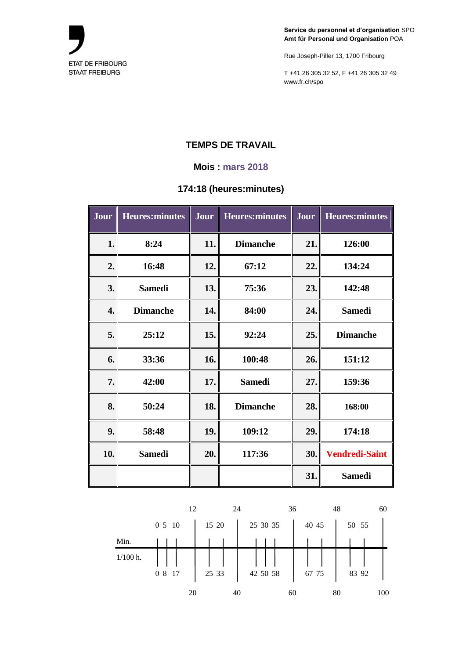

Rue Joseph-Piller 13, 1700 Fribourg

T +41 26 305 32 52, F +41 26 305 32 49 www.fr.ch/spo

# **TEMPS DE TRAVAIL**

#### **Mois : mars 2018**

### **174:18 (heures:minutes)**

| Jour | <b>Heures:minutes</b> | <b>Jour</b> | <b>Heures:minutes</b> | Jour | <b>Heures:minutes</b> |
|------|-----------------------|-------------|-----------------------|------|-----------------------|
| 1.   | 8:24                  | 11.         | <b>Dimanche</b>       | 21.  | 126:00                |
| 2.   | 16:48                 | 12.         | 67:12                 | 22.  | 134:24                |
| 3.   | <b>Samedi</b>         | 13.         | 75:36                 | 23.  | 142:48                |
| 4.   | <b>Dimanche</b>       | 14.         | 84:00                 | 24.  | <b>Samedi</b>         |
| 5.   | 25:12                 | 15.         | 92:24                 | 25.  | <b>Dimanche</b>       |
| 6.   | 33:36                 | 16.         | 100:48                | 26.  | 151:12                |
| 7.   | 42:00                 | 17.         | <b>Samedi</b>         | 27.  | 159:36                |
| 8.   | 50:24                 | 18.         | <b>Dimanche</b>       | 28.  | 168:00                |
| 9.   | 58:48                 | 19.         | 109:12                | 29.  | 174:18                |
| 10.  | <b>Samedi</b>         | 20.         | 117:36                | 30.  | <b>Vendredi-Saint</b> |
|      |                       |             |                       | 31.  | <b>Samedi</b>         |

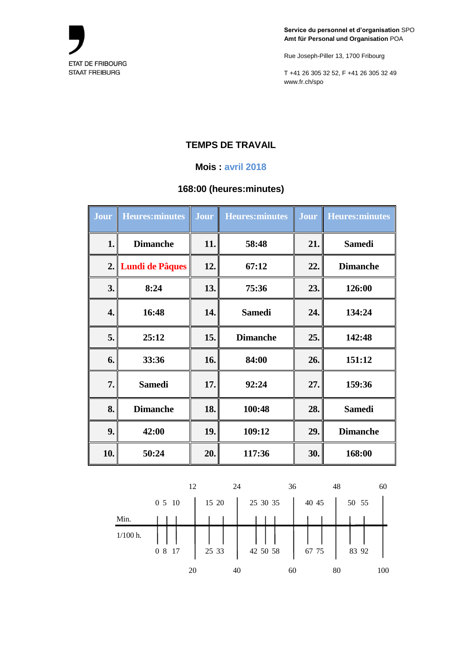

Rue Joseph-Piller 13, 1700 Fribourg

T +41 26 305 32 52, F +41 26 305 32 49 www.fr.ch/spo

# **TEMPS DE TRAVAIL**

### **Mois : avril 2018**

### **168:00 (heures:minutes)**

| Jour | <b>Heures:minutes</b> | Jour | <b>Heures:minutes</b> | Jour | <b>Heures:minutes</b> |
|------|-----------------------|------|-----------------------|------|-----------------------|
| 1.   | <b>Dimanche</b>       | 11.  | 58:48                 | 21.  | <b>Samedi</b>         |
|      | 2. Lundi de Pâques    | 12.  | 67:12                 | 22.  | <b>Dimanche</b>       |
| 3.   | 8:24                  | 13.  | 75:36                 | 23.  | 126:00                |
| 4.   | 16:48                 | 14.  | <b>Samedi</b>         | 24.  | 134:24                |
| 5.   | 25:12                 | 15.  | <b>Dimanche</b>       | 25.  | 142:48                |
| 6.   | 33:36                 | 16.  | 84:00                 | 26.  | 151:12                |
| 7.   | <b>Samedi</b>         | 17.  | 92:24                 | 27.  | 159:36                |
| 8.   | <b>Dimanche</b>       | 18.  | 100:48                | 28.  | <b>Samedi</b>         |
| 9.   | 42:00                 | 19.  | 109:12                | 29.  | <b>Dimanche</b>       |
| 10.  | 50:24                 | 20.  | 117:36                | 30.  | 168:00                |

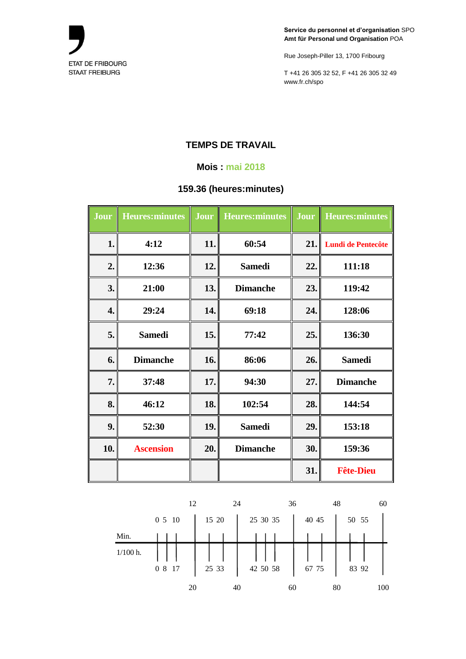

Rue Joseph-Piller 13, 1700 Fribourg

T +41 26 305 32 52, F +41 26 305 32 49 www.fr.ch/spo

# **TEMPS DE TRAVAIL**

### **Mois : mai 2018**

## **159.36 (heures:minutes)**

| Jour | <b>Heures:minutes</b> | Jour       | <b>Heures:minutes</b> | Jour | <b>Heures:minutes</b>     |
|------|-----------------------|------------|-----------------------|------|---------------------------|
| 1.   | 4:12                  | 11.        | 60:54                 | 21.  | <b>Lundi de Pentecôte</b> |
| 2.   | 12:36                 | 12.        | <b>Samedi</b>         | 22.  | 111:18                    |
| 3.   | 21:00                 | 13.        | <b>Dimanche</b>       | 23.  | 119:42                    |
| 4.   | 29:24                 | 14.        | 69:18                 | 24.  | 128:06                    |
| 5.   | <b>Samedi</b>         | <b>15.</b> | 77:42                 | 25.  | 136:30                    |
| 6.   | <b>Dimanche</b>       | 16.        | 86:06                 | 26.  | <b>Samedi</b>             |
| 7.   | 37:48                 | 17.        | 94:30                 | 27.  | <b>Dimanche</b>           |
| 8.   | 46:12                 | 18.        | 102:54                | 28.  | 144:54                    |
| 9.   | 52:30                 | 19.        | <b>Samedi</b>         | 29.  | 153:18                    |
| 10.  | <b>Ascension</b>      | 20.        | <b>Dimanche</b>       | 30.  | 159:36                    |
|      |                       |            |                       | 31.  | <b>Fête-Dieu</b>          |

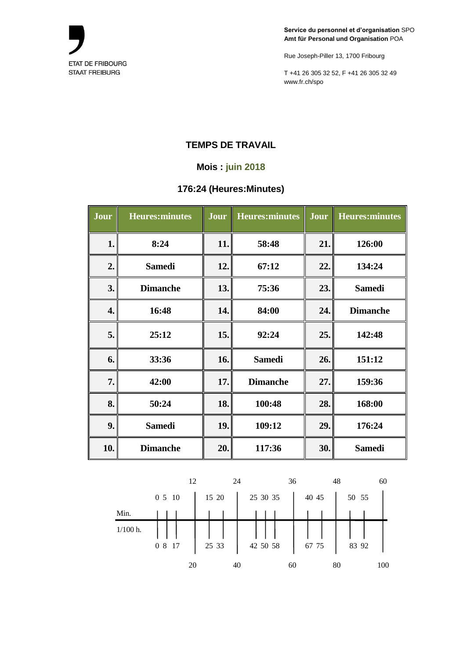

Rue Joseph-Piller 13, 1700 Fribourg

T +41 26 305 32 52, F +41 26 305 32 49 www.fr.ch/spo

### **TEMPS DE TRAVAIL**

### **Mois : juin 2018**

## **176:24 (Heures:Minutes)**

| Jour | <b>Heures:minutes</b> | Jour | <b>Heures:minutes</b> | Jour | <b>Heures:minutes</b> |
|------|-----------------------|------|-----------------------|------|-----------------------|
| 1.   | 8:24                  | 11.  | 58:48                 | 21.  | 126:00                |
| 2.   | <b>Samedi</b>         | 12.  | 67:12                 | 22.  | 134:24                |
| 3.   | <b>Dimanche</b>       | 13.  | 75:36                 | 23.  | <b>Samedi</b>         |
| 4.   | 16:48                 | 14.  | 84:00                 | 24.  | <b>Dimanche</b>       |
| 5.   | 25:12                 | 15.  | 92:24                 | 25.  | 142:48                |
| 6.   | 33:36                 | 16.  | <b>Samedi</b>         | 26.  | 151:12                |
| 7.   | 42:00                 | 17.  | <b>Dimanche</b>       | 27.  | 159:36                |
| 8.   | 50:24                 | 18.  | 100:48                | 28.  | 168:00                |
| 9.   | <b>Samedi</b>         | 19.  | 109:12                | 29.  | 176:24                |
| 10.  | <b>Dimanche</b>       | 20.  | 117:36                | 30.  | <b>Samedi</b>         |

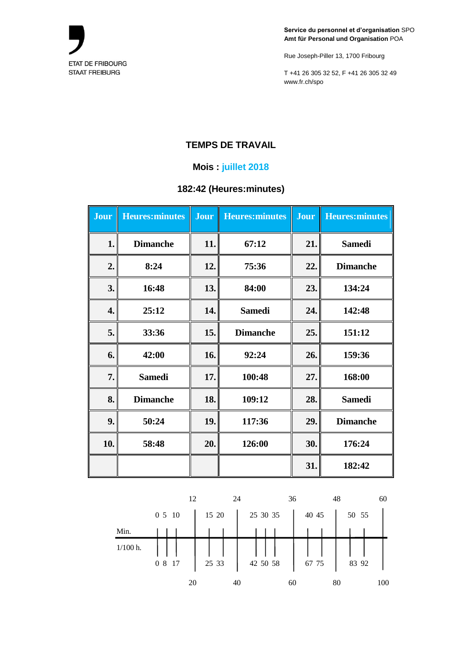

Rue Joseph-Piller 13, 1700 Fribourg

T +41 26 305 32 52, F +41 26 305 32 49 www.fr.ch/spo

### **TEMPS DE TRAVAIL**

### **Mois : juillet 2018**

# **182:42 (Heures:minutes)**

| <b>Jour</b> | <b>Heures:minutes</b> | <b>Jour</b> | <b>Heures:minutes</b> | <b>Jour</b> | <b>Heures:minutes</b> |
|-------------|-----------------------|-------------|-----------------------|-------------|-----------------------|
| 1.          | <b>Dimanche</b>       | 11.         | 67:12                 | 21.         | <b>Samedi</b>         |
| 2.          | 8:24                  | 12.         | 75:36                 | 22.         | <b>Dimanche</b>       |
| 3.          | 16:48                 | 13.         | 84:00                 | 23.         | 134:24                |
| 4.          | 25:12                 | 14.         | <b>Samedi</b>         | 24.         | 142:48                |
| 5.          | 33:36                 | 15.         | <b>Dimanche</b>       | 25.         | 151:12                |
| 6.          | 42:00                 | 16.         | 92:24                 | 26.         | 159:36                |
| 7.          | <b>Samedi</b>         | 17.         | 100:48                | 27.         | 168:00                |
| 8.          | <b>Dimanche</b>       | 18.         | 109:12                | 28.         | <b>Samedi</b>         |
| 9.          | 50:24                 | 19.         | 117:36                | 29.         | <b>Dimanche</b>       |
| 10.         | 58:48                 | 20.         | 126:00                | 30.         | 176:24                |
|             |                       |             |                       | 31.         | 182:42                |

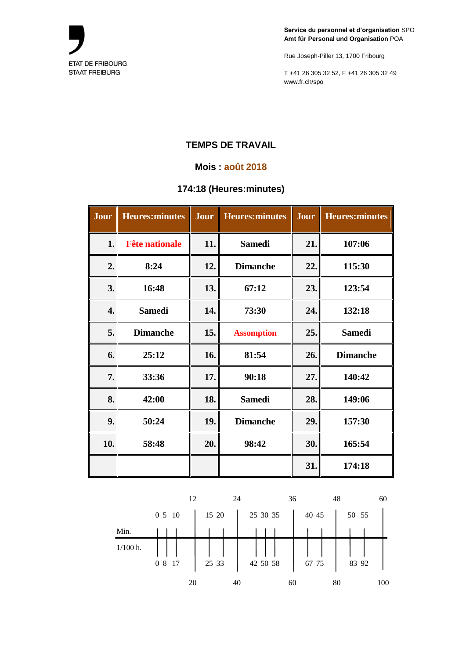

Rue Joseph-Piller 13, 1700 Fribourg

T +41 26 305 32 52, F +41 26 305 32 49 www.fr.ch/spo

## **TEMPS DE TRAVAIL**

### **Mois : août 2018**

### **174:18 (Heures:minutes)**

| Jour | <b>Heures:minutes</b> | Jour | <b>Heures:minutes</b> | Jour | <b>Heures:minutes</b> |
|------|-----------------------|------|-----------------------|------|-----------------------|
| 1.   | <b>Fête nationale</b> | 11.  | <b>Samedi</b>         | 21.  | 107:06                |
| 2.   | 8:24                  | 12.  | <b>Dimanche</b>       | 22.  | 115:30                |
| 3.   | 16:48                 | 13.  | 67:12                 | 23.  | 123:54                |
| 4.   | <b>Samedi</b>         | 14.  | 73:30                 | 24.  | 132:18                |
| 5.   | <b>Dimanche</b>       | 15.  | <b>Assomption</b>     | 25.  | <b>Samedi</b>         |
| 6.   | 25:12                 | 16.  | 81:54                 | 26.  | <b>Dimanche</b>       |
| 7.   | 33:36                 | 17.  | 90:18                 | 27.  | 140:42                |
| 8.   | 42:00                 | 18.  | <b>Samedi</b>         | 28.  | 149:06                |
| 9.   | 50:24                 | 19.  | <b>Dimanche</b>       | 29.  | 157:30                |
| 10.  | 58:48                 | 20.  | 98:42                 | 30.  | 165:54                |
|      |                       |      |                       | 31.  | 174:18                |

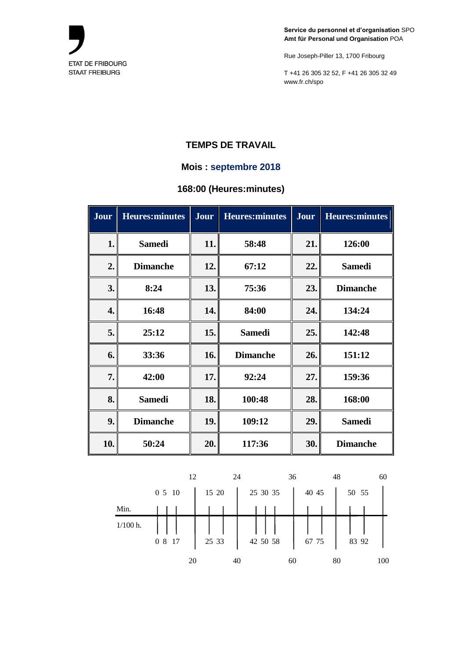

Rue Joseph-Piller 13, 1700 Fribourg

T +41 26 305 32 52, F +41 26 305 32 49 www.fr.ch/spo

### **TEMPS DE TRAVAIL**

### **Mois : septembre 2018**

## **168:00 (Heures:minutes)**

| Jour | <b>Heures:minutes</b> | Jour | <b>Heures:minutes</b> | <b>Jour</b> | <b>Heures:minutes</b> |
|------|-----------------------|------|-----------------------|-------------|-----------------------|
| 1.   | <b>Samedi</b>         | 11.  | 58:48                 | 21.         | 126:00                |
| 2.   | <b>Dimanche</b>       | 12.  | 67:12                 | 22.         | <b>Samedi</b>         |
| 3.   | 8:24                  | 13.  | 75:36                 | 23.         | <b>Dimanche</b>       |
| 4.   | 16:48                 | 14.  | 84:00                 | 24.         | 134:24                |
| 5.   | 25:12                 | 15.  | <b>Samedi</b>         | 25.         | 142:48                |
| 6.   | 33:36                 | 16.  | <b>Dimanche</b>       | 26.         | 151:12                |
| 7.   | 42:00                 | 17.  | 92:24                 | 27.         | 159:36                |
| 8.   | <b>Samedi</b>         | 18.  | 100:48                | 28.         | 168:00                |
| 9.   | <b>Dimanche</b>       | 19.  | 109:12                | 29.         | <b>Samedi</b>         |
| 10.  | 50:24                 | 20.  | 117:36                | 30.         | <b>Dimanche</b>       |

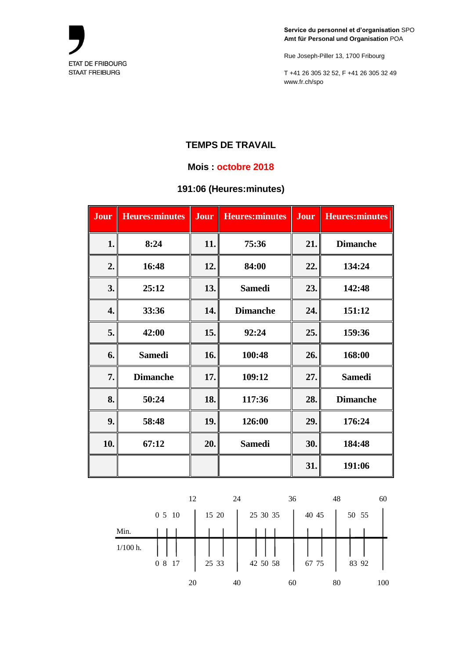

Rue Joseph-Piller 13, 1700 Fribourg

T +41 26 305 32 52, F +41 26 305 32 49 www.fr.ch/spo

### **TEMPS DE TRAVAIL**

#### **Mois : octobre 2018**

### **191:06 (Heures:minutes)**

| Jour | <b>Heures:minutes</b> | <b>Jour</b> | <b>Heures:minutes</b> | Jour | <b>Heures:minutes</b> |
|------|-----------------------|-------------|-----------------------|------|-----------------------|
| 1.   | 8:24                  | 11.         | 75:36                 | 21.  | <b>Dimanche</b>       |
| 2.   | 16:48                 | 12.         | 84:00                 | 22.  | 134:24                |
| 3.   | 25:12                 | 13.         | <b>Samedi</b>         | 23.  | 142:48                |
| 4.   | 33:36                 | 14.         | <b>Dimanche</b>       | 24.  | 151:12                |
| 5.   | 42:00                 | 15.         | 92:24                 | 25.  | 159:36                |
| 6.   | <b>Samedi</b>         | 16.         | 100:48                | 26.  | 168:00                |
| 7.   | <b>Dimanche</b>       | 17.         | 109:12                | 27.  | <b>Samedi</b>         |
| 8.   | 50:24                 | 18.         | 117:36                | 28.  | <b>Dimanche</b>       |
| 9.   | 58:48                 | 19.         | 126:00                | 29.  | 176:24                |
| 10.  | 67:12                 | 20.         | <b>Samedi</b>         | 30.  | 184:48                |
|      |                       |             |                       | 31.  | 191:06                |

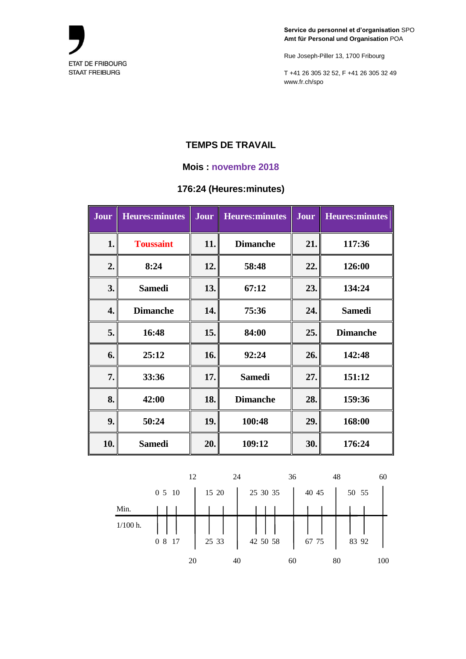

Rue Joseph-Piller 13, 1700 Fribourg

T +41 26 305 32 52, F +41 26 305 32 49 www.fr.ch/spo

# **TEMPS DE TRAVAIL**

#### **Mois : novembre 2018**

### **176:24 (Heures:minutes)**

| Jour | <b>Heures:minutes</b> | Jour | Heures: minutes | Jour | <b>Heures:minutes</b> |
|------|-----------------------|------|-----------------|------|-----------------------|
| 1.   | <b>Toussaint</b>      | 11.  | <b>Dimanche</b> | 21.  | 117:36                |
| 2.   | 8:24                  | 12.  | 58:48           | 22.  | 126:00                |
| 3.   | <b>Samedi</b>         | 13.  | 67:12           | 23.  | 134:24                |
| 4.   | <b>Dimanche</b>       | 14.  | 75:36           | 24.  | <b>Samedi</b>         |
| 5.   | 16:48                 | 15.  | 84:00           | 25.  | <b>Dimanche</b>       |
| 6.   | 25:12                 | 16.  | 92:24           | 26.  | 142:48                |
| 7.   | 33:36                 | 17.  | <b>Samedi</b>   | 27.  | 151:12                |
| 8.   | 42:00                 | 18.  | <b>Dimanche</b> | 28.  | 159:36                |
| 9.   | 50:24                 | 19.  | 100:48          | 29.  | 168:00                |
| 10.  | <b>Samedi</b>         | 20.  | 109:12          | 30.  | 176:24                |